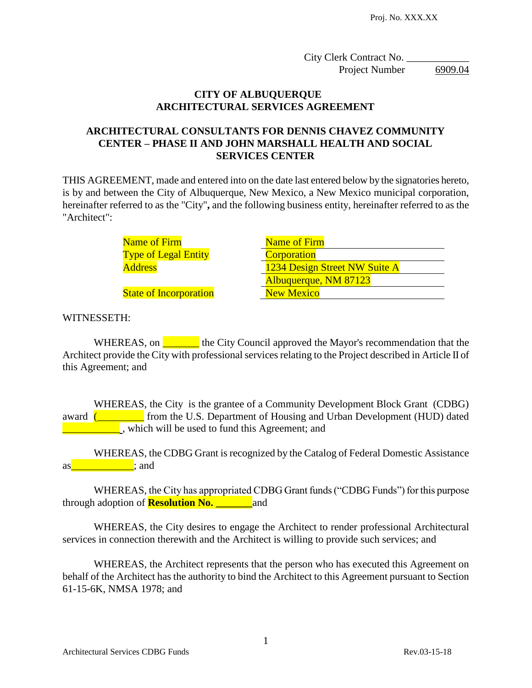City Clerk Contract No. \_ Project Number 6909.04

#### **CITY OF ALBUQUERQUE ARCHITECTURAL SERVICES AGREEMENT**

# **ARCHITECTURAL CONSULTANTS FOR DENNIS CHAVEZ COMMUNITY CENTER – PHASE II AND JOHN MARSHALL HEALTH AND SOCIAL SERVICES CENTER**

THIS AGREEMENT, made and entered into on the date last entered below by the signatories hereto, is by and between the City of Albuquerque, New Mexico, a New Mexico municipal corporation, hereinafter referred to as the "City"**,** and the following business entity, hereinafter referred to as the "Architect":

> Name of Firm Name of Firm Type of Legal Entity **Corporation**

Address 1234 Design Street NW Suite A Albuquerque, NM 87123 **State of Incorporation** New Mexico

# WITNESSETH:

WHEREAS, on **Let us also use** the City Council approved the Mayor's recommendation that the Architect provide the City with professional services relating to the Project described in Article II of this Agreement; and

WHEREAS, the City is the grantee of a Community Development Block Grant (CDBG) award **(Karl From the U.S. Department of Housing and Urban Development (HUD) dated** which will be used to fund this Agreement; and

WHEREAS, the CDBG Grant is recognized by the Catalog of Federal Domestic Assistance  $\mathsf{as}$  as  $\mathsf{as}$  and  $\mathsf{as}$ 

WHEREAS, the City has appropriated CDBG Grant funds ("CDBG Funds") for this purpose through adoption of **Resolution No. \_\_\_\_\_\_\_**and

WHEREAS, the City desires to engage the Architect to render professional Architectural services in connection therewith and the Architect is willing to provide such services; and

WHEREAS, the Architect represents that the person who has executed this Agreement on behalf of the Architect has the authority to bind the Architect to this Agreement pursuant to Section 61-15-6K, NMSA 1978; and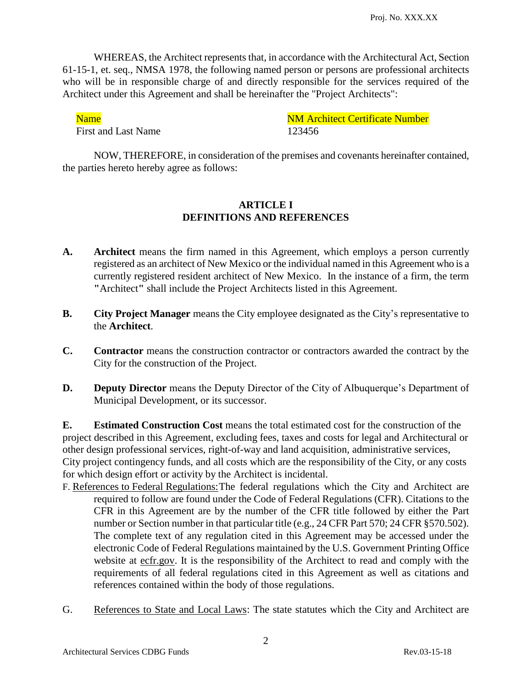WHEREAS, the Architect represents that, in accordance with the Architectural Act, Section 61-15-1, et. seq., NMSA 1978, the following named person or persons are professional architects who will be in responsible charge of and directly responsible for the services required of the Architect under this Agreement and shall be hereinafter the "Project Architects":

First and Last Name 123456

Name Name NM Architect Certificate Number

NOW, THEREFORE, in consideration of the premises and covenants hereinafter contained, the parties hereto hereby agree as follows:

#### **ARTICLE I DEFINITIONS AND REFERENCES**

- **A. Architect** means the firm named in this Agreement, which employs a person currently registered as an architect of New Mexico or the individual named in this Agreement who is a currently registered resident architect of New Mexico. In the instance of a firm, the term **"**Architect**"** shall include the Project Architects listed in this Agreement.
- **B. City Project Manager** means the City employee designated as the City's representative to the **Architect**.
- **C. Contractor** means the construction contractor or contractors awarded the contract by the City for the construction of the Project.
- **D. Deputy Director** means the Deputy Director of the City of Albuquerque's Department of Municipal Development, or its successor.

**E. Estimated Construction Cost** means the total estimated cost for the construction of the project described in this Agreement, excluding fees, taxes and costs for legal and Architectural or other design professional services, right-of-way and land acquisition, administrative services, City project contingency funds, and all costs which are the responsibility of the City, or any costs for which design effort or activity by the Architect is incidental.

- F. References to Federal Regulations:The federal regulations which the City and Architect are required to follow are found under the Code of Federal Regulations (CFR). Citations to the CFR in this Agreement are by the number of the CFR title followed by either the Part number or Section number in that particular title (e.g., 24 CFR Part 570; 24 CFR §570.502). The complete text of any regulation cited in this Agreement may be accessed under the electronic Code of Federal Regulations maintained by the U.S. Government Printing Office website at ecfr.gov. It is the responsibility of the Architect to read and comply with the requirements of all federal regulations cited in this Agreement as well as citations and references contained within the body of those regulations.
- G. References to State and Local Laws: The state statutes which the City and Architect are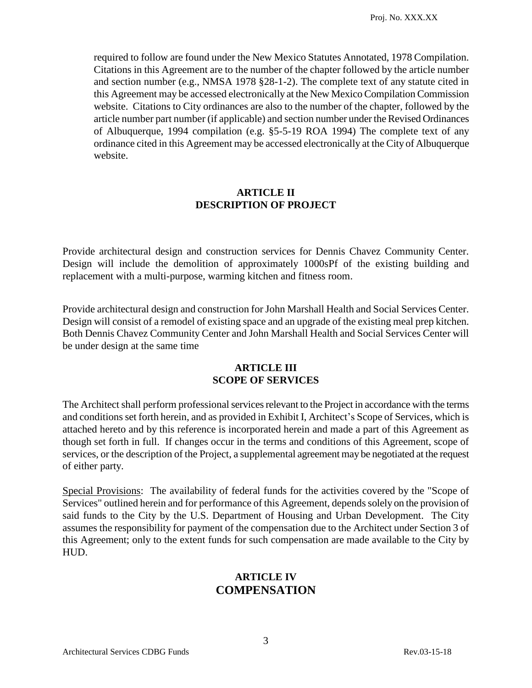required to follow are found under the New Mexico Statutes Annotated, 1978 Compilation. Citations in this Agreement are to the number of the chapter followed by the article number and section number (e.g., NMSA 1978 §28-1-2). The complete text of any statute cited in this Agreement may be accessed electronically at the New Mexico Compilation Commission website. Citations to City ordinances are also to the number of the chapter, followed by the article number part number (if applicable) and section number under the Revised Ordinances of Albuquerque, 1994 compilation (e.g. §5-5-19 ROA 1994) The complete text of any ordinance cited in this Agreement may be accessed electronically at the City of Albuquerque website.

#### **ARTICLE II DESCRIPTION OF PROJECT**

Provide architectural design and construction services for Dennis Chavez Community Center. Design will include the demolition of approximately 1000sPf of the existing building and replacement with a multi-purpose, warming kitchen and fitness room.

Provide architectural design and construction for John Marshall Health and Social Services Center. Design will consist of a remodel of existing space and an upgrade of the existing meal prep kitchen. Both Dennis Chavez Community Center and John Marshall Health and Social Services Center will be under design at the same time

#### **ARTICLE III SCOPE OF SERVICES**

The Architect shall perform professional services relevant to the Project in accordance with the terms and conditions set forth herein, and as provided in Exhibit I, Architect's Scope of Services, which is attached hereto and by this reference is incorporated herein and made a part of this Agreement as though set forth in full. If changes occur in the terms and conditions of this Agreement, scope of services, or the description of the Project, a supplemental agreement may be negotiated at the request of either party.

Special Provisions: The availability of federal funds for the activities covered by the "Scope of Services" outlined herein and for performance of this Agreement, depends solely on the provision of said funds to the City by the U.S. Department of Housing and Urban Development. The City assumes the responsibility for payment of the compensation due to the Architect under Section 3 of this Agreement; only to the extent funds for such compensation are made available to the City by HUD.

# **ARTICLE IV COMPENSATION**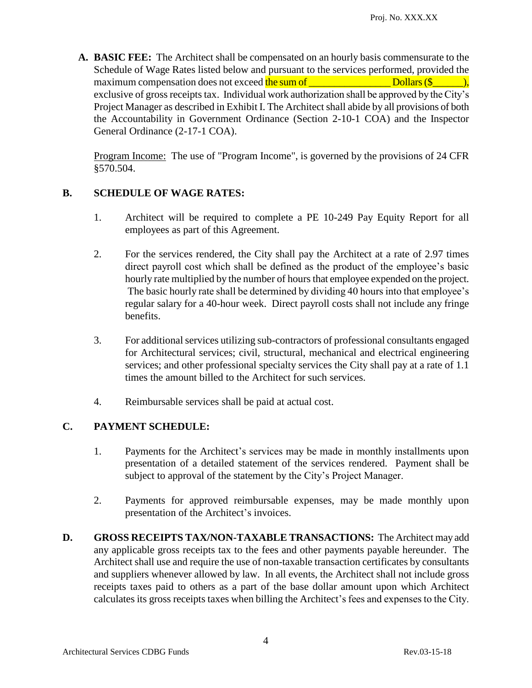**A. BASIC FEE:** The Architect shall be compensated on an hourly basis commensurate to the Schedule of Wage Rates listed below and pursuant to the services performed, provided the maximum compensation does not exceed the sum of  $\Box$  Dollars (\$ $\Box$ ), exclusive of gross receipts tax. Individual work authorization shall be approved by the City's Project Manager as described in Exhibit I. The Architect shall abide by all provisions of both the Accountability in Government Ordinance (Section 2-10-1 COA) and the Inspector General Ordinance (2-17-1 COA).

Program Income: The use of "Program Income", is governed by the provisions of 24 CFR §570.504.

# **B. SCHEDULE OF WAGE RATES:**

- 1. Architect will be required to complete a PE 10-249 Pay Equity Report for all employees as part of this Agreement.
- 2. For the services rendered, the City shall pay the Architect at a rate of 2.97 times direct payroll cost which shall be defined as the product of the employee's basic hourly rate multiplied by the number of hours that employee expended on the project. The basic hourly rate shall be determined by dividing 40 hours into that employee's regular salary for a 40-hour week. Direct payroll costs shall not include any fringe benefits.
- 3. For additionalservices utilizing sub-contractors of professional consultants engaged for Architectural services; civil, structural, mechanical and electrical engineering services; and other professional specialty services the City shall pay at a rate of 1.1 times the amount billed to the Architect for such services.
- 4. Reimbursable services shall be paid at actual cost.

# **C. PAYMENT SCHEDULE:**

- 1. Payments for the Architect's services may be made in monthly installments upon presentation of a detailed statement of the services rendered. Payment shall be subject to approval of the statement by the City's Project Manager.
- 2. Payments for approved reimbursable expenses, may be made monthly upon presentation of the Architect's invoices.
- **D. GROSS RECEIPTS TAX/NON-TAXABLE TRANSACTIONS:** The Architect may add any applicable gross receipts tax to the fees and other payments payable hereunder. The Architect shall use and require the use of non-taxable transaction certificates by consultants and suppliers whenever allowed by law. In all events, the Architect shall not include gross receipts taxes paid to others as a part of the base dollar amount upon which Architect calculates its gross receipts taxes when billing the Architect's fees and expenses to the City.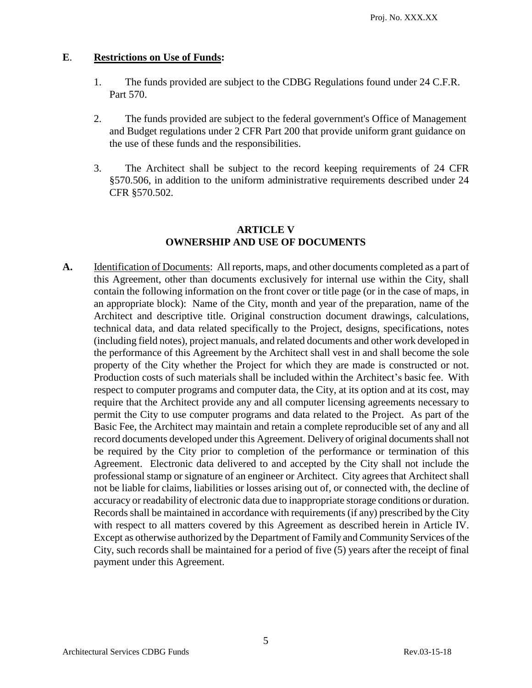# **E**. **Restrictions on Use of Funds:**

- 1. The funds provided are subject to the CDBG Regulations found under 24 C.F.R. Part 570.
- 2. The funds provided are subject to the federal government's Office of Management and Budget regulations under 2 CFR Part 200 that provide uniform grant guidance on the use of these funds and the responsibilities.
- 3. The Architect shall be subject to the record keeping requirements of 24 CFR §570.506, in addition to the uniform administrative requirements described under 24 CFR §570.502.

# **ARTICLE V OWNERSHIP AND USE OF DOCUMENTS**

A. Identification of Documents: All reports, maps, and other documents completed as a part of this Agreement, other than documents exclusively for internal use within the City, shall contain the following information on the front cover or title page (or in the case of maps, in an appropriate block): Name of the City, month and year of the preparation, name of the Architect and descriptive title. Original construction document drawings, calculations, technical data, and data related specifically to the Project, designs, specifications, notes (including field notes), project manuals, and related documents and other work developed in the performance of this Agreement by the Architect shall vest in and shall become the sole property of the City whether the Project for which they are made is constructed or not. Production costs of such materials shall be included within the Architect's basic fee. With respect to computer programs and computer data, the City, at its option and at its cost, may require that the Architect provide any and all computer licensing agreements necessary to permit the City to use computer programs and data related to the Project. As part of the Basic Fee, the Architect may maintain and retain a complete reproducible set of any and all record documents developed under this Agreement. Delivery of original documents shall not be required by the City prior to completion of the performance or termination of this Agreement. Electronic data delivered to and accepted by the City shall not include the professional stamp or signature of an engineer or Architect. City agrees that Architect shall not be liable for claims, liabilities or losses arising out of, or connected with, the decline of accuracy or readability of electronic data due to inappropriate storage conditions or duration. Records shall be maintained in accordance with requirements (if any) prescribed by the City with respect to all matters covered by this Agreement as described herein in Article IV. Except as otherwise authorized by the Department of Family and Community Services of the City, such records shall be maintained for a period of five (5) years after the receipt of final payment under this Agreement.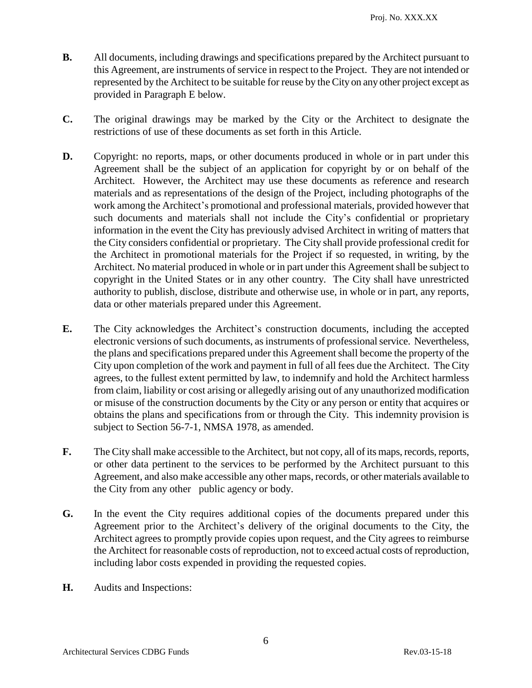- **B.** All documents, including drawings and specifications prepared by the Architect pursuant to this Agreement, are instruments of service in respect to the Project. They are not intended or represented by the Architect to be suitable for reuse by the City on any other project except as provided in Paragraph E below.
- **C.** The original drawings may be marked by the City or the Architect to designate the restrictions of use of these documents as set forth in this Article.
- **D.** Copyright: no reports, maps, or other documents produced in whole or in part under this Agreement shall be the subject of an application for copyright by or on behalf of the Architect. However, the Architect may use these documents as reference and research materials and as representations of the design of the Project, including photographs of the work among the Architect's promotional and professional materials, provided however that such documents and materials shall not include the City's confidential or proprietary information in the event the City has previously advised Architect in writing of matters that the City considers confidential or proprietary. The City shall provide professional credit for the Architect in promotional materials for the Project if so requested, in writing, by the Architect. No material produced in whole or in part under this Agreement shall be subject to copyright in the United States or in any other country. The City shall have unrestricted authority to publish, disclose, distribute and otherwise use, in whole or in part, any reports, data or other materials prepared under this Agreement.
- **E.** The City acknowledges the Architect's construction documents, including the accepted electronic versions of such documents, as instruments of professional service. Nevertheless, the plans and specifications prepared under this Agreement shall become the property of the City upon completion of the work and payment in full of all fees due the Architect. The City agrees, to the fullest extent permitted by law, to indemnify and hold the Architect harmless from claim, liability or cost arising or allegedly arising out of any unauthorized modification or misuse of the construction documents by the City or any person or entity that acquires or obtains the plans and specifications from or through the City. This indemnity provision is subject to Section 56-7-1, NMSA 1978, as amended.
- **F.** The City shall make accessible to the Architect, but not copy, all of its maps, records, reports, or other data pertinent to the services to be performed by the Architect pursuant to this Agreement, and also make accessible any other maps, records, or other materials available to the City from any other public agency or body.
- **G.** In the event the City requires additional copies of the documents prepared under this Agreement prior to the Architect's delivery of the original documents to the City, the Architect agrees to promptly provide copies upon request, and the City agrees to reimburse the Architect for reasonable costs of reproduction, not to exceed actual costs of reproduction, including labor costs expended in providing the requested copies.
- **H.** Audits and Inspections: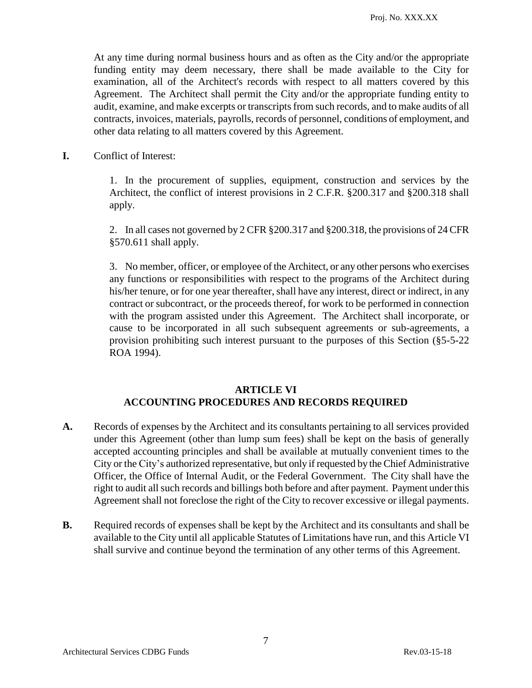At any time during normal business hours and as often as the City and/or the appropriate funding entity may deem necessary, there shall be made available to the City for examination, all of the Architect's records with respect to all matters covered by this Agreement. The Architect shall permit the City and/or the appropriate funding entity to audit, examine, and make excerpts or transcripts from such records, and to make audits of all contracts, invoices, materials, payrolls, records of personnel, conditions of employment, and other data relating to all matters covered by this Agreement.

**I.** Conflict of Interest:

1. In the procurement of supplies, equipment, construction and services by the Architect, the conflict of interest provisions in 2 C.F.R. §200.317 and §200.318 shall apply.

2. In all cases not governed by 2 CFR §200.317 and §200.318, the provisions of 24 CFR §570.611 shall apply.

3. No member, officer, or employee of the Architect, or any other persons who exercises any functions or responsibilities with respect to the programs of the Architect during his/her tenure, or for one year thereafter, shall have any interest, direct or indirect, in any contract or subcontract, or the proceeds thereof, for work to be performed in connection with the program assisted under this Agreement. The Architect shall incorporate, or cause to be incorporated in all such subsequent agreements or sub-agreements, a provision prohibiting such interest pursuant to the purposes of this Section (§5-5-22 ROA 1994).

#### **ARTICLE VI ACCOUNTING PROCEDURES AND RECORDS REQUIRED**

- **A.** Records of expenses by the Architect and its consultants pertaining to all services provided under this Agreement (other than lump sum fees) shall be kept on the basis of generally accepted accounting principles and shall be available at mutually convenient times to the City or the City's authorized representative, but only if requested by the Chief Administrative Officer, the Office of Internal Audit, or the Federal Government. The City shall have the right to audit all such records and billings both before and after payment. Payment under this Agreement shall not foreclose the right of the City to recover excessive or illegal payments.
- **B.** Required records of expenses shall be kept by the Architect and its consultants and shall be available to the City until all applicable Statutes of Limitations have run, and this Article VI shall survive and continue beyond the termination of any other terms of this Agreement.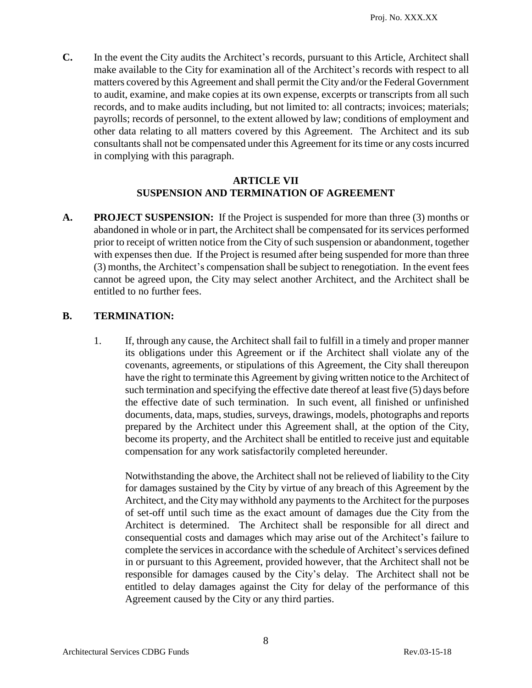**C.** In the event the City audits the Architect's records, pursuant to this Article, Architect shall make available to the City for examination all of the Architect's records with respect to all matters covered by this Agreement and shall permit the City and/or the Federal Government to audit, examine, and make copies at its own expense, excerpts or transcripts from all such records, and to make audits including, but not limited to: all contracts; invoices; materials; payrolls; records of personnel, to the extent allowed by law; conditions of employment and other data relating to all matters covered by this Agreement. The Architect and its sub consultants shall not be compensated under this Agreement for its time or any costs incurred in complying with this paragraph.

#### **ARTICLE VII SUSPENSION AND TERMINATION OF AGREEMENT**

**A. PROJECT SUSPENSION:** If the Project is suspended for more than three (3) months or abandoned in whole or in part, the Architect shall be compensated for its services performed prior to receipt of written notice from the City of such suspension or abandonment, together with expenses then due. If the Project is resumed after being suspended for more than three (3) months, the Architect's compensation shall be subject to renegotiation. In the event fees cannot be agreed upon, the City may select another Architect, and the Architect shall be entitled to no further fees.

# **B. TERMINATION:**

1. If, through any cause, the Architect shall fail to fulfill in a timely and proper manner its obligations under this Agreement or if the Architect shall violate any of the covenants, agreements, or stipulations of this Agreement, the City shall thereupon have the right to terminate this Agreement by giving written notice to the Architect of such termination and specifying the effective date thereof at least five (5) days before the effective date of such termination. In such event, all finished or unfinished documents, data, maps, studies, surveys, drawings, models, photographs and reports prepared by the Architect under this Agreement shall, at the option of the City, become its property, and the Architect shall be entitled to receive just and equitable compensation for any work satisfactorily completed hereunder.

Notwithstanding the above, the Architect shall not be relieved of liability to the City for damages sustained by the City by virtue of any breach of this Agreement by the Architect, and the City may withhold any payments to the Architect for the purposes of set-off until such time as the exact amount of damages due the City from the Architect is determined. The Architect shall be responsible for all direct and consequential costs and damages which may arise out of the Architect's failure to complete the services in accordance with the schedule of Architect's services defined in or pursuant to this Agreement, provided however, that the Architect shall not be responsible for damages caused by the City's delay. The Architect shall not be entitled to delay damages against the City for delay of the performance of this Agreement caused by the City or any third parties.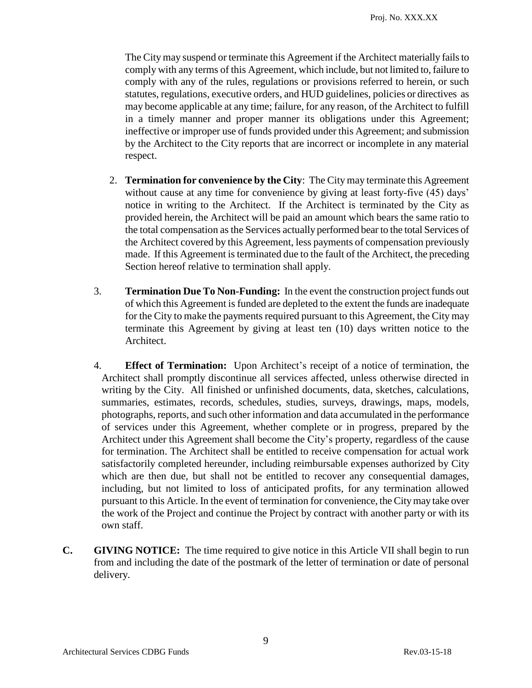The City may suspend or terminate this Agreement if the Architect materially fails to comply with any terms of this Agreement, which include, but not limited to, failure to comply with any of the rules, regulations or provisions referred to herein, or such statutes, regulations, executive orders, and HUD guidelines, policies or directives as may become applicable at any time; failure, for any reason, of the Architect to fulfill in a timely manner and proper manner its obligations under this Agreement; ineffective or improper use of funds provided under this Agreement; and submission by the Architect to the City reports that are incorrect or incomplete in any material respect.

- 2. **Termination for convenience by the City**: The City may terminate this Agreement without cause at any time for convenience by giving at least forty-five (45) days' notice in writing to the Architect. If the Architect is terminated by the City as provided herein, the Architect will be paid an amount which bears the same ratio to the total compensation as the Services actually performed bear to the total Services of the Architect covered by this Agreement, less payments of compensation previously made. If this Agreement is terminated due to the fault of the Architect, the preceding Section hereof relative to termination shall apply.
- 3. **Termination Due To Non-Funding:** In the event the construction project funds out of which this Agreement is funded are depleted to the extent the funds are inadequate for the City to make the payments required pursuant to this Agreement, the City may terminate this Agreement by giving at least ten (10) days written notice to the Architect.
- 4. **Effect of Termination:** Upon Architect's receipt of a notice of termination, the Architect shall promptly discontinue all services affected, unless otherwise directed in writing by the City. All finished or unfinished documents, data, sketches, calculations, summaries, estimates, records, schedules, studies, surveys, drawings, maps, models, photographs, reports, and such other information and data accumulated in the performance of services under this Agreement, whether complete or in progress, prepared by the Architect under this Agreement shall become the City's property, regardless of the cause for termination. The Architect shall be entitled to receive compensation for actual work satisfactorily completed hereunder, including reimbursable expenses authorized by City which are then due, but shall not be entitled to recover any consequential damages, including, but not limited to loss of anticipated profits, for any termination allowed pursuant to this Article. In the event of termination for convenience, the Citymay take over the work of the Project and continue the Project by contract with another party or with its own staff.
- **C. GIVING NOTICE:** The time required to give notice in this Article VII shall begin to run from and including the date of the postmark of the letter of termination or date of personal delivery.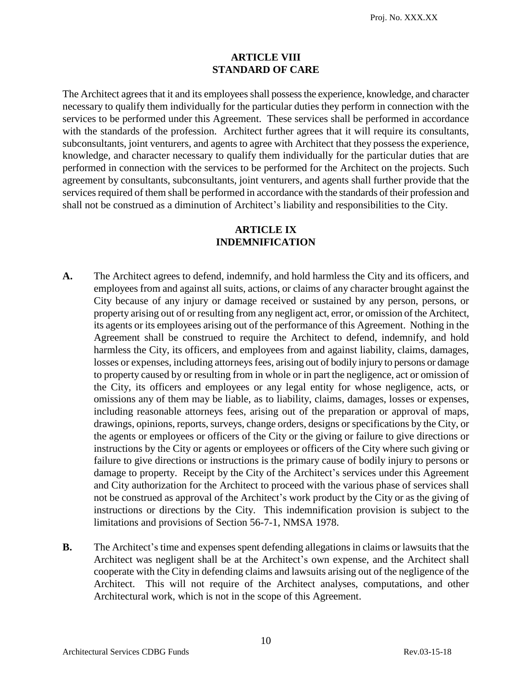#### **ARTICLE VIII STANDARD OF CARE**

The Architect agrees that it and its employees shall possess the experience, knowledge, and character necessary to qualify them individually for the particular duties they perform in connection with the services to be performed under this Agreement. These services shall be performed in accordance with the standards of the profession. Architect further agrees that it will require its consultants, subconsultants, joint venturers, and agents to agree with Architect that they possess the experience, knowledge, and character necessary to qualify them individually for the particular duties that are performed in connection with the services to be performed for the Architect on the projects. Such agreement by consultants, subconsultants, joint venturers, and agents shall further provide that the services required of them shall be performed in accordance with the standards of their profession and shall not be construed as a diminution of Architect's liability and responsibilities to the City.

#### **ARTICLE IX INDEMNIFICATION**

- **A.** The Architect agrees to defend, indemnify, and hold harmless the City and its officers, and employees from and against all suits, actions, or claims of any character brought against the City because of any injury or damage received or sustained by any person, persons, or property arising out of or resulting from any negligent act, error, or omission of the Architect, its agents or its employees arising out of the performance of this Agreement. Nothing in the Agreement shall be construed to require the Architect to defend, indemnify, and hold harmless the City, its officers, and employees from and against liability, claims, damages, losses or expenses, including attorneys fees, arising out of bodily injury to persons or damage to property caused by or resulting from in whole or in part the negligence, act or omission of the City, its officers and employees or any legal entity for whose negligence, acts, or omissions any of them may be liable, as to liability, claims, damages, losses or expenses, including reasonable attorneys fees, arising out of the preparation or approval of maps, drawings, opinions, reports, surveys, change orders, designs or specifications by the City, or the agents or employees or officers of the City or the giving or failure to give directions or instructions by the City or agents or employees or officers of the City where such giving or failure to give directions or instructions is the primary cause of bodily injury to persons or damage to property. Receipt by the City of the Architect's services under this Agreement and City authorization for the Architect to proceed with the various phase of services shall not be construed as approval of the Architect's work product by the City or as the giving of instructions or directions by the City. This indemnification provision is subject to the limitations and provisions of Section 56-7-1, NMSA 1978.
- **B.** The Architect's time and expenses spent defending allegations in claims or lawsuits that the Architect was negligent shall be at the Architect's own expense, and the Architect shall cooperate with the City in defending claims and lawsuits arising out of the negligence of the Architect. This will not require of the Architect analyses, computations, and other Architectural work, which is not in the scope of this Agreement.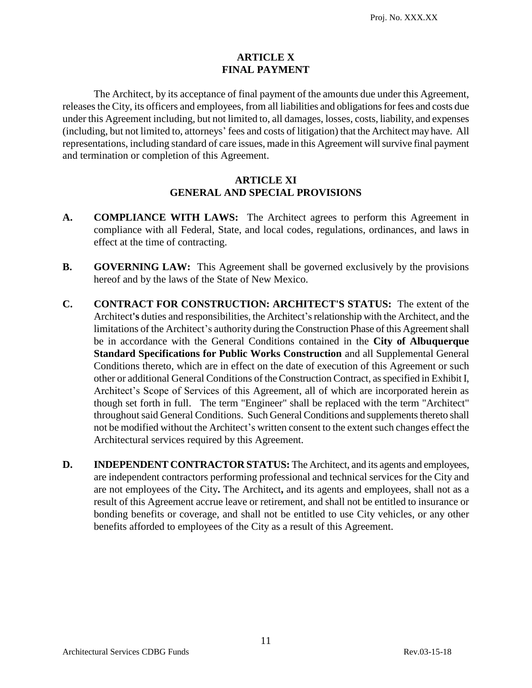# **ARTICLE X FINAL PAYMENT**

The Architect, by its acceptance of final payment of the amounts due under this Agreement, releases the City, its officers and employees, from all liabilities and obligationsfor fees and costs due under this Agreement including, but not limited to, all damages, losses, costs, liability, and expenses (including, but not limited to, attorneys' fees and costs of litigation) that the Architect may have. All representations, including standard of care issues, made in this Agreement will survive final payment and termination or completion of this Agreement.

# **ARTICLE XI GENERAL AND SPECIAL PROVISIONS**

- **A. COMPLIANCE WITH LAWS:** The Architect agrees to perform this Agreement in compliance with all Federal, State, and local codes, regulations, ordinances, and laws in effect at the time of contracting.
- **B. GOVERNING LAW:** This Agreement shall be governed exclusively by the provisions hereof and by the laws of the State of New Mexico.
- **C. CONTRACT FOR CONSTRUCTION: ARCHITECT'S STATUS:** The extent of the Architect**'s** duties and responsibilities, the Architect'srelationship with the Architect, and the limitations of the Architect's authority during the Construction Phase of this Agreement shall be in accordance with the General Conditions contained in the **City of Albuquerque Standard Specifications for Public Works Construction** and all Supplemental General Conditions thereto, which are in effect on the date of execution of this Agreement or such other or additional General Conditions of the Construction Contract, as specified in Exhibit I, Architect's Scope of Services of this Agreement, all of which are incorporated herein as though set forth in full. The term "Engineer" shall be replaced with the term "Architect" throughout said General Conditions. Such General Conditions and supplements thereto shall not be modified without the Architect's written consent to the extent such changes effect the Architectural services required by this Agreement.
- **D. INDEPENDENT CONTRACTOR STATUS:** The Architect, and its agents and employees, are independent contractors performing professional and technical services for the City and are not employees of the City**.** The Architect**,** and its agents and employees, shall not as a result of this Agreement accrue leave or retirement, and shall not be entitled to insurance or bonding benefits or coverage, and shall not be entitled to use City vehicles, or any other benefits afforded to employees of the City as a result of this Agreement.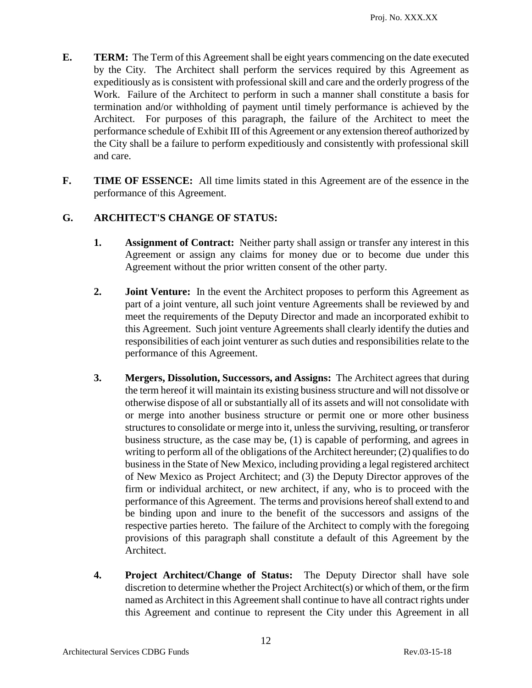- **E. TERM:** The Term of this Agreement shall be eight years commencing on the date executed by the City. The Architect shall perform the services required by this Agreement as expeditiously as is consistent with professional skill and care and the orderly progress of the Work. Failure of the Architect to perform in such a manner shall constitute a basis for termination and/or withholding of payment until timely performance is achieved by the Architect. For purposes of this paragraph, the failure of the Architect to meet the performance schedule of Exhibit III of this Agreement or any extension thereof authorized by the City shall be a failure to perform expeditiously and consistently with professional skill and care.
- **F. TIME OF ESSENCE:** All time limits stated in this Agreement are of the essence in the performance of this Agreement.

# **G. ARCHITECT'S CHANGE OF STATUS:**

- **1. Assignment of Contract:** Neither party shall assign or transfer any interest in this Agreement or assign any claims for money due or to become due under this Agreement without the prior written consent of the other party.
- **2. Joint Venture:** In the event the Architect proposes to perform this Agreement as part of a joint venture, all such joint venture Agreements shall be reviewed by and meet the requirements of the Deputy Director and made an incorporated exhibit to this Agreement. Such joint venture Agreements shall clearly identify the duties and responsibilities of each joint venturer as such duties and responsibilities relate to the performance of this Agreement.
- **3. Mergers, Dissolution, Successors, and Assigns:** The Architect agrees that during the term hereof it will maintain its existing business structure and will not dissolve or otherwise dispose of all or substantially all of its assets and will not consolidate with or merge into another business structure or permit one or more other business structures to consolidate or merge into it, unless the surviving, resulting, or transferor business structure, as the case may be, (1) is capable of performing, and agrees in writing to perform all of the obligations of the Architect hereunder; (2) qualifies to do business in the State of New Mexico, including providing a legal registered architect of New Mexico as Project Architect; and (3) the Deputy Director approves of the firm or individual architect, or new architect, if any, who is to proceed with the performance of this Agreement. The terms and provisions hereof shall extend to and be binding upon and inure to the benefit of the successors and assigns of the respective parties hereto. The failure of the Architect to comply with the foregoing provisions of this paragraph shall constitute a default of this Agreement by the Architect.
- **4. Project Architect/Change of Status:** The Deputy Director shall have sole discretion to determine whether the Project Architect(s) or which of them, or the firm named as Architect in this Agreement shall continue to have all contract rights under this Agreement and continue to represent the City under this Agreement in all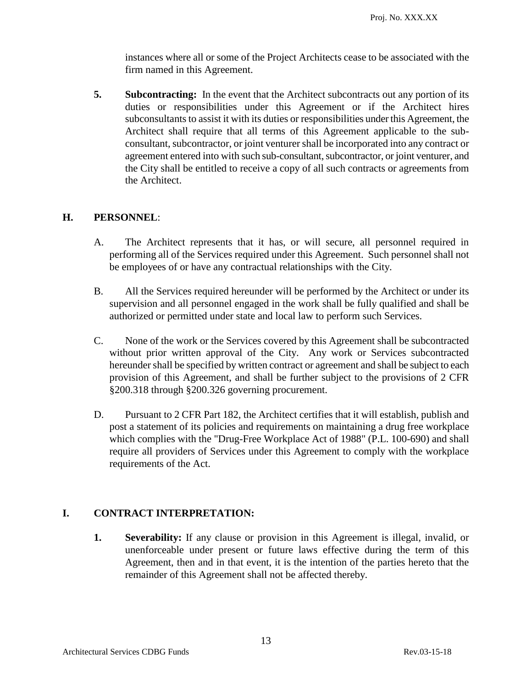instances where all or some of the Project Architects cease to be associated with the firm named in this Agreement.

**5. Subcontracting:** In the event that the Architect subcontracts out any portion of its duties or responsibilities under this Agreement or if the Architect hires subconsultants to assist it with its duties or responsibilities under this Agreement, the Architect shall require that all terms of this Agreement applicable to the subconsultant, subcontractor, or joint venturer shall be incorporated into any contract or agreement entered into with such sub-consultant, subcontractor, or joint venturer, and the City shall be entitled to receive a copy of all such contracts or agreements from the Architect.

# **H. PERSONNEL**:

- A. The Architect represents that it has, or will secure, all personnel required in performing all of the Services required under this Agreement. Such personnel shall not be employees of or have any contractual relationships with the City.
- B. All the Services required hereunder will be performed by the Architect or under its supervision and all personnel engaged in the work shall be fully qualified and shall be authorized or permitted under state and local law to perform such Services.
- C. None of the work or the Services covered by this Agreement shall be subcontracted without prior written approval of the City. Any work or Services subcontracted hereunder shall be specified by written contract or agreement and shall be subject to each provision of this Agreement, and shall be further subject to the provisions of 2 CFR §200.318 through §200.326 governing procurement.
- D. Pursuant to 2 CFR Part 182, the Architect certifies that it will establish, publish and post a statement of its policies and requirements on maintaining a drug free workplace which complies with the "Drug-Free Workplace Act of 1988" (P.L. 100-690) and shall require all providers of Services under this Agreement to comply with the workplace requirements of the Act.

# **I. CONTRACT INTERPRETATION:**

**1. Severability:** If any clause or provision in this Agreement is illegal, invalid, or unenforceable under present or future laws effective during the term of this Agreement, then and in that event, it is the intention of the parties hereto that the remainder of this Agreement shall not be affected thereby.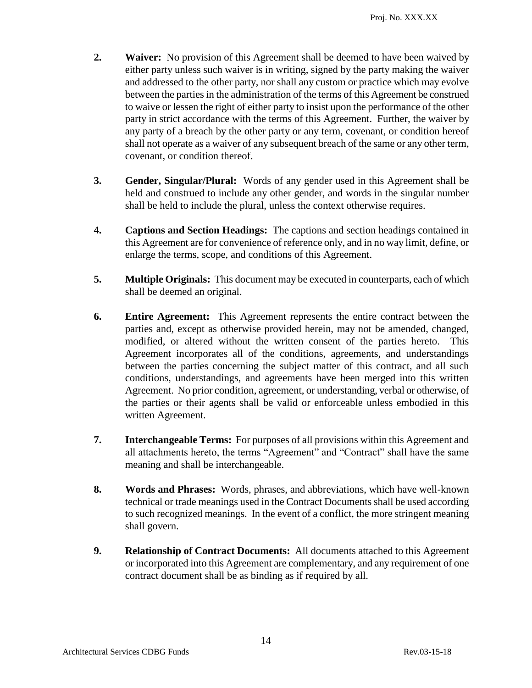- **2. Waiver:** No provision of this Agreement shall be deemed to have been waived by either party unless such waiver is in writing, signed by the party making the waiver and addressed to the other party, nor shall any custom or practice which may evolve between the parties in the administration of the terms of this Agreement be construed to waive or lessen the right of either party to insist upon the performance of the other party in strict accordance with the terms of this Agreement. Further, the waiver by any party of a breach by the other party or any term, covenant, or condition hereof shall not operate as a waiver of any subsequent breach of the same or any other term, covenant, or condition thereof.
- **3. Gender, Singular/Plural:** Words of any gender used in this Agreement shall be held and construed to include any other gender, and words in the singular number shall be held to include the plural, unless the context otherwise requires.
- **4. Captions and Section Headings:** The captions and section headings contained in this Agreement are for convenience of reference only, and in no way limit, define, or enlarge the terms, scope, and conditions of this Agreement.
- **5. Multiple Originals:** This document may be executed in counterparts, each of which shall be deemed an original.
- **6. Entire Agreement:** This Agreement represents the entire contract between the parties and, except as otherwise provided herein, may not be amended, changed, modified, or altered without the written consent of the parties hereto. This Agreement incorporates all of the conditions, agreements, and understandings between the parties concerning the subject matter of this contract, and all such conditions, understandings, and agreements have been merged into this written Agreement. No prior condition, agreement, or understanding, verbal or otherwise, of the parties or their agents shall be valid or enforceable unless embodied in this written Agreement.
- **7. Interchangeable Terms:** For purposes of all provisions within this Agreement and all attachments hereto, the terms "Agreement" and "Contract" shall have the same meaning and shall be interchangeable.
- **8. Words and Phrases:** Words, phrases, and abbreviations, which have well-known technical or trade meanings used in the Contract Documents shall be used according to such recognized meanings. In the event of a conflict, the more stringent meaning shall govern.
- **9. Relationship of Contract Documents:** All documents attached to this Agreement or incorporated into this Agreement are complementary, and any requirement of one contract document shall be as binding as if required by all.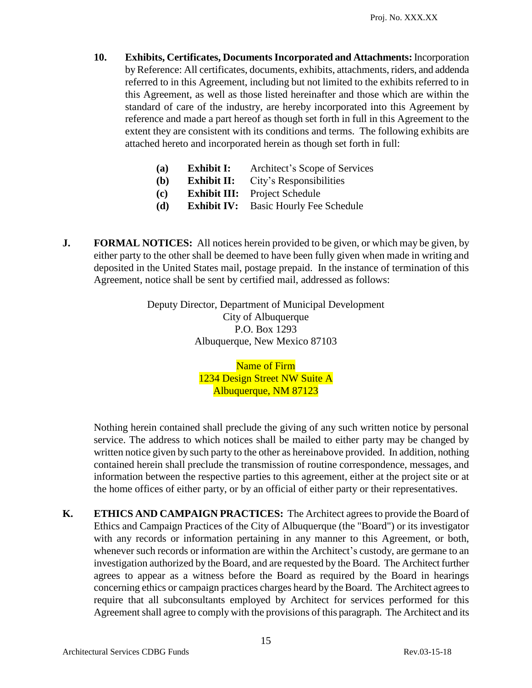**10. Exhibits, Certificates, Documents Incorporated and Attachments:** Incorporation by Reference: All certificates, documents, exhibits, attachments, riders, and addenda referred to in this Agreement, including but not limited to the exhibits referred to in this Agreement, as well as those listed hereinafter and those which are within the standard of care of the industry, are hereby incorporated into this Agreement by reference and made a part hereof as though set forth in full in this Agreement to the extent they are consistent with its conditions and terms. The following exhibits are attached hereto and incorporated herein as though set forth in full:

| (a) | <b>Exhibit I:</b>  | Architect's Scope of Services        |
|-----|--------------------|--------------------------------------|
| (b) | <b>Exhibit II:</b> | City's Responsibilities              |
| (c) |                    | <b>Exhibit III:</b> Project Schedule |

- **(d) Exhibit IV:** Basic Hourly Fee Schedule
- **J. FORMAL NOTICES:** All notices herein provided to be given, or which may be given, by either party to the other shall be deemed to have been fully given when made in writing and deposited in the United States mail, postage prepaid. In the instance of termination of this Agreement, notice shall be sent by certified mail, addressed as follows:

Deputy Director, Department of Municipal Development City of Albuquerque P.O. Box 1293 Albuquerque, New Mexico 87103

> Name of Firm 1234 Design Street NW Suite A Albuquerque, NM 87123

Nothing herein contained shall preclude the giving of any such written notice by personal service. The address to which notices shall be mailed to either party may be changed by written notice given by such party to the other as hereinabove provided. In addition, nothing contained herein shall preclude the transmission of routine correspondence, messages, and information between the respective parties to this agreement, either at the project site or at the home offices of either party, or by an official of either party or their representatives.

**K. ETHICS AND CAMPAIGN PRACTICES:** The Architect agrees to provide the Board of Ethics and Campaign Practices of the City of Albuquerque (the "Board") or its investigator with any records or information pertaining in any manner to this Agreement, or both, whenever such records or information are within the Architect's custody, are germane to an investigation authorized by the Board, and are requested by the Board. The Architect further agrees to appear as a witness before the Board as required by the Board in hearings concerning ethics or campaign practices charges heard by the Board. The Architect agrees to require that all subconsultants employed by Architect for services performed for this Agreement shall agree to comply with the provisions of this paragraph. The Architect and its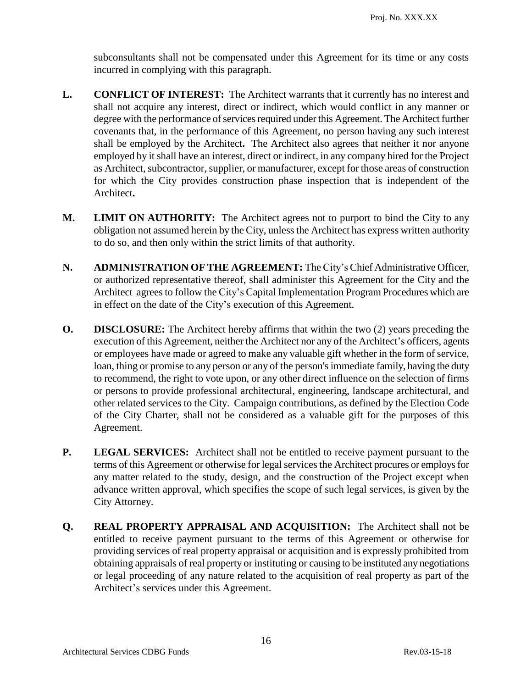subconsultants shall not be compensated under this Agreement for its time or any costs incurred in complying with this paragraph.

- **L. CONFLICT OF INTEREST:** The Architect warrants that it currently has no interest and shall not acquire any interest, direct or indirect, which would conflict in any manner or degree with the performance of services required under this Agreement. The Architect further covenants that, in the performance of this Agreement, no person having any such interest shall be employed by the Architect**.** The Architect also agrees that neither it nor anyone employed by it shall have an interest, direct or indirect, in any company hired for the Project as Architect, subcontractor, supplier, or manufacturer, except for those areas of construction for which the City provides construction phase inspection that is independent of the Architect**.**
- **M. LIMIT ON AUTHORITY:** The Architect agrees not to purport to bind the City to any obligation not assumed herein by the City, unless the Architect has express written authority to do so, and then only within the strict limits of that authority.
- **N. ADMINISTRATION OF THE AGREEMENT:** The City's Chief Administrative Officer, or authorized representative thereof, shall administer this Agreement for the City and the Architect agrees to follow the City's Capital Implementation Program Procedures which are in effect on the date of the City's execution of this Agreement.
- **O. DISCLOSURE:** The Architect hereby affirms that within the two (2) years preceding the execution of this Agreement, neither the Architect nor any of the Architect's officers, agents or employees have made or agreed to make any valuable gift whether in the form of service, loan, thing or promise to any person or any of the person's immediate family, having the duty to recommend, the right to vote upon, or any other direct influence on the selection of firms or persons to provide professional architectural, engineering, landscape architectural, and other related services to the City. Campaign contributions, as defined by the Election Code of the City Charter, shall not be considered as a valuable gift for the purposes of this Agreement.
- **P.** LEGAL SERVICES: Architect shall not be entitled to receive payment pursuant to the terms of this Agreement or otherwise for legal services the Architect procures or employs for any matter related to the study, design, and the construction of the Project except when advance written approval, which specifies the scope of such legal services, is given by the City Attorney.
- **Q. REAL PROPERTY APPRAISAL AND ACQUISITION:** The Architect shall not be entitled to receive payment pursuant to the terms of this Agreement or otherwise for providing services of real property appraisal or acquisition and is expressly prohibited from obtaining appraisals of real property or instituting or causing to be instituted any negotiations or legal proceeding of any nature related to the acquisition of real property as part of the Architect's services under this Agreement.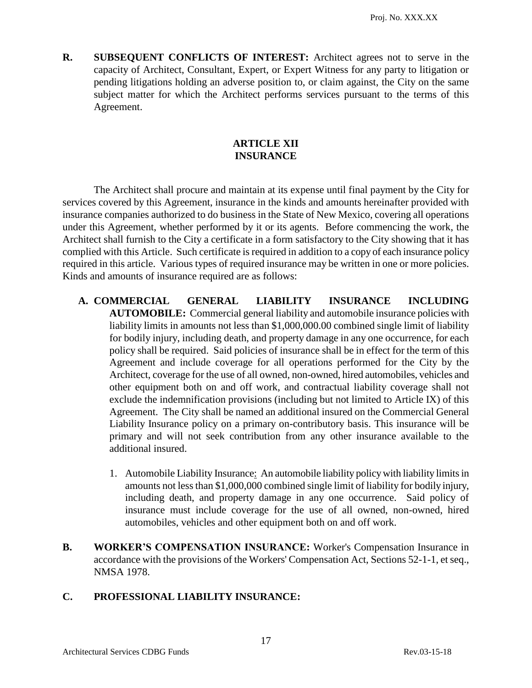**R. SUBSEQUENT CONFLICTS OF INTEREST:** Architect agrees not to serve in the capacity of Architect, Consultant, Expert, or Expert Witness for any party to litigation or pending litigations holding an adverse position to, or claim against, the City on the same subject matter for which the Architect performs services pursuant to the terms of this Agreement.

# **ARTICLE XII INSURANCE**

The Architect shall procure and maintain at its expense until final payment by the City for services covered by this Agreement, insurance in the kinds and amounts hereinafter provided with insurance companies authorized to do business in the State of New Mexico, covering all operations under this Agreement, whether performed by it or its agents. Before commencing the work, the Architect shall furnish to the City a certificate in a form satisfactory to the City showing that it has complied with this Article. Such certificate is required in addition to a copy of each insurance policy required in this article. Various types of required insurance may be written in one or more policies. Kinds and amounts of insurance required are as follows:

- **A. COMMERCIAL GENERAL LIABILITY INSURANCE INCLUDING AUTOMOBILE:** Commercial general liability and automobile insurance policies with liability limits in amounts not less than \$1,000,000.00 combined single limit of liability for bodily injury, including death, and property damage in any one occurrence, for each policy shall be required. Said policies of insurance shall be in effect for the term of this Agreement and include coverage for all operations performed for the City by the Architect, coverage for the use of all owned, non-owned, hired automobiles, vehicles and other equipment both on and off work, and contractual liability coverage shall not exclude the indemnification provisions (including but not limited to Article IX) of this Agreement. The City shall be named an additional insured on the Commercial General Liability Insurance policy on a primary on-contributory basis. This insurance will be primary and will not seek contribution from any other insurance available to the additional insured.
	- 1. Automobile Liability Insurance: An automobile liability policy with liability limits in amounts not less than \$1,000,000 combined single limit of liability for bodily injury, including death, and property damage in any one occurrence. Said policy of insurance must include coverage for the use of all owned, non-owned, hired automobiles, vehicles and other equipment both on and off work.
- **B. WORKER'S COMPENSATION INSURANCE:** Worker's Compensation Insurance in accordance with the provisions of the Workers' Compensation Act, Sections 52-1-1, et seq., NMSA 1978.

# **C. PROFESSIONAL LIABILITY INSURANCE:**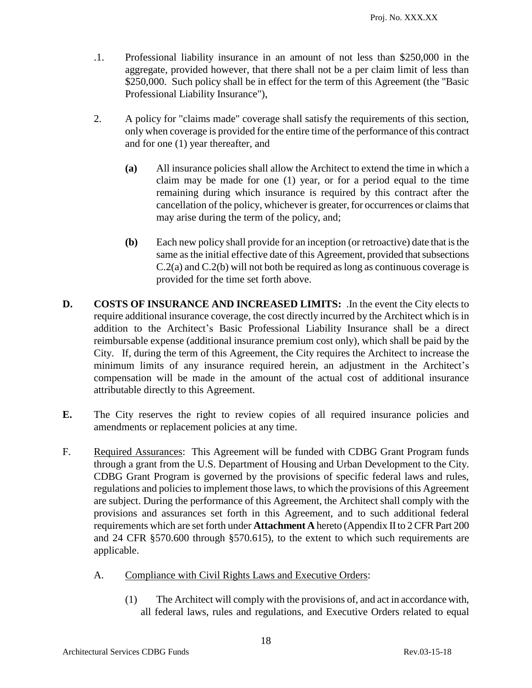- .1. Professional liability insurance in an amount of not less than \$250,000 in the aggregate, provided however, that there shall not be a per claim limit of less than \$250,000. Such policy shall be in effect for the term of this Agreement (the "Basic" Professional Liability Insurance"),
- 2. A policy for "claims made" coverage shall satisfy the requirements of this section, only when coverage is provided for the entire time of the performance of this contract and for one (1) year thereafter, and
	- **(a)** All insurance policies shall allow the Architect to extend the time in which a claim may be made for one (1) year, or for a period equal to the time remaining during which insurance is required by this contract after the cancellation of the policy, whichever is greater, for occurrences or claims that may arise during the term of the policy, and;
	- **(b)** Each new policy shall provide for an inception (or retroactive) date that is the same as the initial effective date of this Agreement, provided that subsections C.2(a) and C.2(b) will not both be required as long as continuous coverage is provided for the time set forth above.
- **D. COSTS OF INSURANCE AND INCREASED LIMITS:** . In the event the City elects to require additional insurance coverage, the cost directly incurred by the Architect which is in addition to the Architect's Basic Professional Liability Insurance shall be a direct reimbursable expense (additional insurance premium cost only), which shall be paid by the City. If, during the term of this Agreement, the City requires the Architect to increase the minimum limits of any insurance required herein, an adjustment in the Architect's compensation will be made in the amount of the actual cost of additional insurance attributable directly to this Agreement.
- **E.** The City reserves the right to review copies of all required insurance policies and amendments or replacement policies at any time.
- F. Required Assurances: This Agreement will be funded with CDBG Grant Program funds through a grant from the U.S. Department of Housing and Urban Development to the City. CDBG Grant Program is governed by the provisions of specific federal laws and rules, regulations and policies to implement those laws, to which the provisions of this Agreement are subject. During the performance of this Agreement, the Architect shall comply with the provisions and assurances set forth in this Agreement, and to such additional federal requirements which are set forth under **Attachment A** hereto (Appendix II to 2 CFR Part 200 and 24 CFR §570.600 through §570.615), to the extent to which such requirements are applicable.
	- A. Compliance with Civil Rights Laws and Executive Orders:
		- (1) The Architect will comply with the provisions of, and act in accordance with, all federal laws, rules and regulations, and Executive Orders related to equal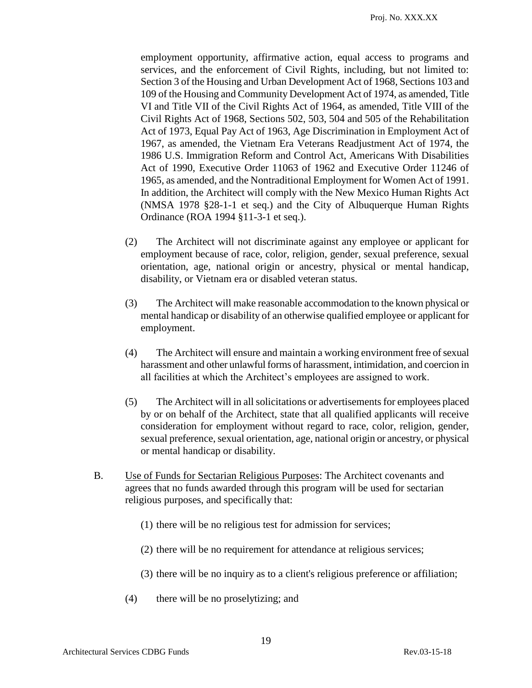employment opportunity, affirmative action, equal access to programs and services, and the enforcement of Civil Rights, including, but not limited to: Section 3 of the Housing and Urban Development Act of 1968, Sections 103 and 109 of the Housing and Community Development Act of 1974, as amended, Title VI and Title VII of the Civil Rights Act of 1964, as amended, Title VIII of the Civil Rights Act of 1968, Sections 502, 503, 504 and 505 of the Rehabilitation Act of 1973, Equal Pay Act of 1963, Age Discrimination in Employment Act of 1967, as amended, the Vietnam Era Veterans Readjustment Act of 1974, the 1986 U.S. Immigration Reform and Control Act, Americans With Disabilities Act of 1990, Executive Order 11063 of 1962 and Executive Order 11246 of 1965, as amended, and the Nontraditional Employment for Women Act of 1991. In addition, the Architect will comply with the New Mexico Human Rights Act (NMSA 1978 §28-1-1 et seq.) and the City of Albuquerque Human Rights Ordinance (ROA 1994 §11-3-1 et seq.).

- (2) The Architect will not discriminate against any employee or applicant for employment because of race, color, religion, gender, sexual preference, sexual orientation, age, national origin or ancestry, physical or mental handicap, disability, or Vietnam era or disabled veteran status.
- (3) The Architect will make reasonable accommodation to the known physical or mental handicap or disability of an otherwise qualified employee or applicant for employment.
- (4) The Architect will ensure and maintain a working environment free of sexual harassment and other unlawful forms of harassment, intimidation, and coercion in all facilities at which the Architect's employees are assigned to work.
- (5) The Architect will in all solicitations or advertisements for employees placed by or on behalf of the Architect, state that all qualified applicants will receive consideration for employment without regard to race, color, religion, gender, sexual preference, sexual orientation, age, national origin or ancestry, or physical or mental handicap or disability.
- B. Use of Funds for Sectarian Religious Purposes: The Architect covenants and agrees that no funds awarded through this program will be used for sectarian religious purposes, and specifically that:
	- (1) there will be no religious test for admission for services;
	- (2) there will be no requirement for attendance at religious services;
	- (3) there will be no inquiry as to a client's religious preference or affiliation;
	- (4) there will be no proselytizing; and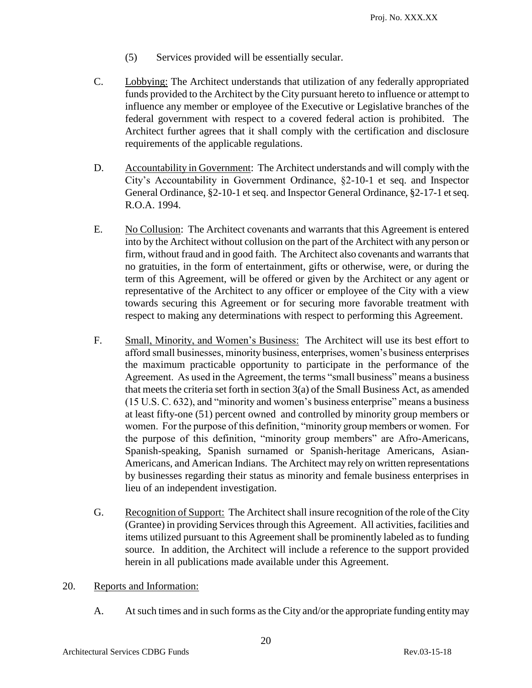- (5) Services provided will be essentially secular.
- C. Lobbying: The Architect understands that utilization of any federally appropriated funds provided to the Architect by the City pursuant hereto to influence or attempt to influence any member or employee of the Executive or Legislative branches of the federal government with respect to a covered federal action is prohibited. The Architect further agrees that it shall comply with the certification and disclosure requirements of the applicable regulations.
- D. Accountability in Government: The Architect understands and will comply with the City's Accountability in Government Ordinance, §2-10-1 et seq. and Inspector General Ordinance, §2-10-1 et seq. and Inspector General Ordinance, §2-17-1 et seq. R.O.A. 1994.
- E. No Collusion: The Architect covenants and warrants that this Agreement is entered into by the Architect without collusion on the part of the Architect with any person or firm, without fraud and in good faith. The Architect also covenants and warrants that no gratuities, in the form of entertainment, gifts or otherwise, were, or during the term of this Agreement, will be offered or given by the Architect or any agent or representative of the Architect to any officer or employee of the City with a view towards securing this Agreement or for securing more favorable treatment with respect to making any determinations with respect to performing this Agreement.
- F. Small, Minority, and Women's Business: The Architect will use its best effort to afford small businesses, minority business, enterprises, women's business enterprises the maximum practicable opportunity to participate in the performance of the Agreement. As used in the Agreement, the terms "small business" means a business that meets the criteria set forth in section 3(a) of the Small Business Act, as amended (15 U.S. C. 632), and "minority and women's business enterprise" means a business at least fifty-one (51) percent owned and controlled by minority group members or women. For the purpose of this definition, "minority group members or women. For the purpose of this definition, "minority group members" are Afro-Americans, Spanish-speaking, Spanish surnamed or Spanish-heritage Americans, Asian-Americans, and American Indians. The Architect may rely on written representations by businesses regarding their status as minority and female business enterprises in lieu of an independent investigation.
- G. Recognition of Support: The Architect shall insure recognition of the role of the City (Grantee) in providing Services through this Agreement. All activities, facilities and items utilized pursuant to this Agreement shall be prominently labeled as to funding source. In addition, the Architect will include a reference to the support provided herein in all publications made available under this Agreement.
- 20. Reports and Information:
	- A. At such times and in such forms as the City and/or the appropriate funding entity may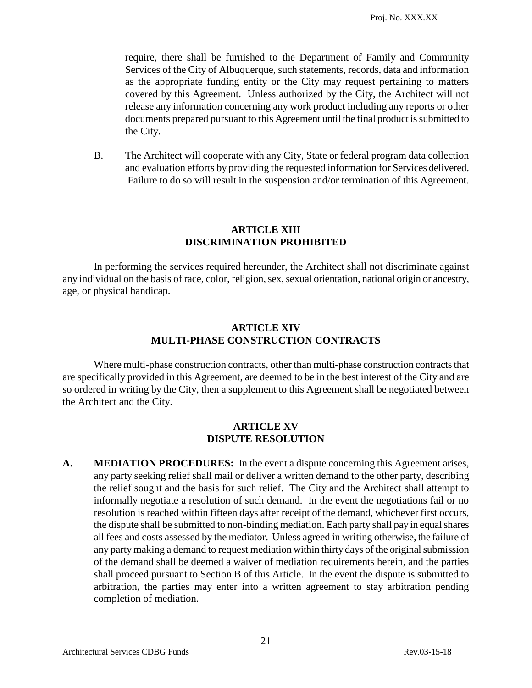require, there shall be furnished to the Department of Family and Community Services of the City of Albuquerque, such statements, records, data and information as the appropriate funding entity or the City may request pertaining to matters covered by this Agreement. Unless authorized by the City, the Architect will not release any information concerning any work product including any reports or other documents prepared pursuant to this Agreement until the final product is submitted to the City.

B. The Architect will cooperate with any City, State or federal program data collection and evaluation efforts by providing the requested information for Services delivered. Failure to do so will result in the suspension and/or termination of this Agreement.

#### **ARTICLE XIII DISCRIMINATION PROHIBITED**

In performing the services required hereunder, the Architect shall not discriminate against any individual on the basis of race, color, religion, sex, sexual orientation, national origin or ancestry, age, or physical handicap.

#### **ARTICLE XIV MULTI-PHASE CONSTRUCTION CONTRACTS**

Where multi-phase construction contracts, other than multi-phase construction contracts that are specifically provided in this Agreement, are deemed to be in the best interest of the City and are so ordered in writing by the City, then a supplement to this Agreement shall be negotiated between the Architect and the City.

#### **ARTICLE XV DISPUTE RESOLUTION**

**A. MEDIATION PROCEDURES:** In the event a dispute concerning this Agreement arises, any party seeking relief shall mail or deliver a written demand to the other party, describing the relief sought and the basis for such relief. The City and the Architect shall attempt to informally negotiate a resolution of such demand. In the event the negotiations fail or no resolution is reached within fifteen days after receipt of the demand, whichever first occurs, the dispute shall be submitted to non-binding mediation. Each party shall pay in equal shares all fees and costs assessed by the mediator. Unless agreed in writing otherwise, the failure of any party making a demand to request mediation within thirty days of the original submission of the demand shall be deemed a waiver of mediation requirements herein, and the parties shall proceed pursuant to Section B of this Article. In the event the dispute is submitted to arbitration, the parties may enter into a written agreement to stay arbitration pending completion of mediation.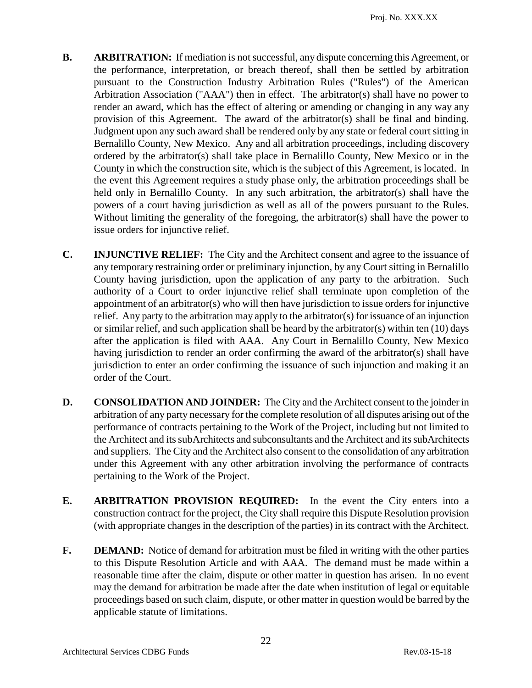- **B. ARBITRATION:** If mediation is not successful, any dispute concerning this Agreement, or the performance, interpretation, or breach thereof, shall then be settled by arbitration pursuant to the Construction Industry Arbitration Rules ("Rules") of the American Arbitration Association ("AAA") then in effect. The arbitrator(s) shall have no power to render an award, which has the effect of altering or amending or changing in any way any provision of this Agreement. The award of the arbitrator(s) shall be final and binding. Judgment upon any such award shall be rendered only by any state or federal court sitting in Bernalillo County, New Mexico. Any and all arbitration proceedings, including discovery ordered by the arbitrator(s) shall take place in Bernalillo County, New Mexico or in the County in which the construction site, which is the subject of this Agreement, is located. In the event this Agreement requires a study phase only, the arbitration proceedings shall be held only in Bernalillo County. In any such arbitration, the arbitrator(s) shall have the powers of a court having jurisdiction as well as all of the powers pursuant to the Rules. Without limiting the generality of the foregoing, the arbitrator(s) shall have the power to issue orders for injunctive relief.
- **C. INJUNCTIVE RELIEF:** The City and the Architect consent and agree to the issuance of any temporary restraining order or preliminary injunction, by any Court sitting in Bernalillo County having jurisdiction, upon the application of any party to the arbitration. Such authority of a Court to order injunctive relief shall terminate upon completion of the appointment of an arbitrator(s) who will then have jurisdiction to issue orders for injunctive relief. Any party to the arbitration may apply to the arbitrator(s) for issuance of an injunction or similar relief, and such application shall be heard by the arbitrator(s) within ten (10) days after the application is filed with AAA. Any Court in Bernalillo County, New Mexico having jurisdiction to render an order confirming the award of the arbitrator(s) shall have jurisdiction to enter an order confirming the issuance of such injunction and making it an order of the Court.
- **D. CONSOLIDATION AND JOINDER:** The City and the Architect consent to the joinder in arbitration of any party necessary for the complete resolution of all disputes arising out of the performance of contracts pertaining to the Work of the Project, including but not limited to the Architect and its subArchitects and subconsultants and the Architect and its subArchitects and suppliers. The City and the Architect also consent to the consolidation of any arbitration under this Agreement with any other arbitration involving the performance of contracts pertaining to the Work of the Project.
- **E. ARBITRATION PROVISION REQUIRED:** In the event the City enters into a construction contract for the project, the City shall require this Dispute Resolution provision (with appropriate changes in the description of the parties) in its contract with the Architect.
- **F. DEMAND:** Notice of demand for arbitration must be filed in writing with the other parties to this Dispute Resolution Article and with AAA. The demand must be made within a reasonable time after the claim, dispute or other matter in question has arisen. In no event may the demand for arbitration be made after the date when institution of legal or equitable proceedings based on such claim, dispute, or other matter in question would be barred by the applicable statute of limitations.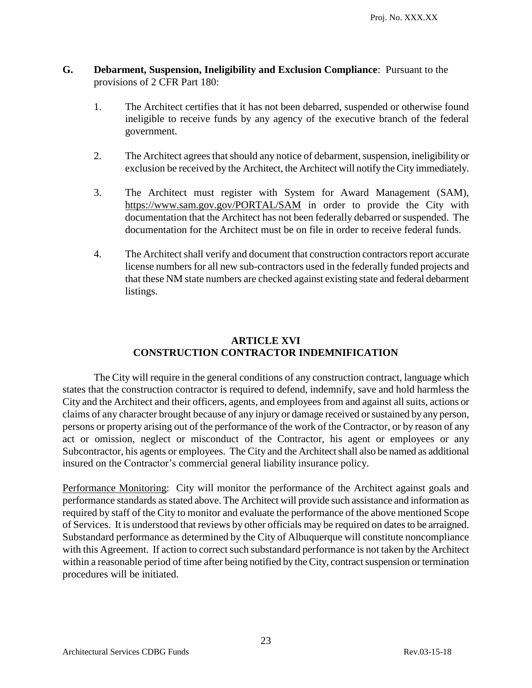- **G. Debarment, Suspension, Ineligibility and Exclusion Compliance**: Pursuant to the provisions of 2 CFR Part 180:
	- 1. The Architect certifies that it has not been debarred, suspended or otherwise found ineligible to receive funds by any agency of the executive branch of the federal government.
	- 2. The Architect agrees that should any notice of debarment, suspension, ineligibility or exclusion be received by the Architect, the Architect will notify the City immediately.
	- 3. The Architect must register with System for Award Management (SAM), https://www.sam.gov.gov/PORTAL/SAM in order to provide the City with documentation that the Architect has not been federally debarred or suspended. The documentation for the Architect must be on file in order to receive federal funds.
	- 4. The Architect shall verify and document that construction contractors report accurate license numbers for all new sub-contractors used in the federally funded projects and that these NM state numbers are checked against existing state and federal debarment listings.

# **ARTICLE XVI CONSTRUCTION CONTRACTOR INDEMNIFICATION**

The City will require in the general conditions of any construction contract, language which states that the construction contractor is required to defend, indemnify, save and hold harmless the City and the Architect and their officers, agents, and employees from and against all suits, actions or claims of any character brought because of any injury or damage received or sustained by any person, persons or property arising out of the performance of the work of the Contractor, or by reason of any act or omission, neglect or misconduct of the Contractor, his agent or employees or any Subcontractor, his agents or employees. The City and the Architect shall also be named as additional insured on the Contractor's commercial general liability insurance policy.

Performance Monitoring: City will monitor the performance of the Architect against goals and performance standards as stated above. The Architect will provide such assistance and information as required by staff of the City to monitor and evaluate the performance of the above mentioned Scope of Services. It is understood that reviews by other officials may be required on dates to be arraigned. Substandard performance as determined by the City of Albuquerque will constitute noncompliance with this Agreement. If action to correct such substandard performance is not taken by the Architect within a reasonable period of time after being notified by the City, contract suspension or termination procedures will be initiated.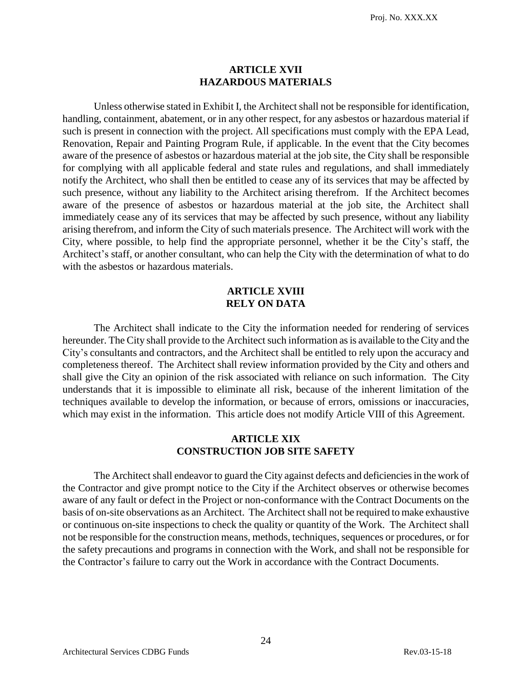#### **ARTICLE XVII HAZARDOUS MATERIALS**

Unless otherwise stated in Exhibit I, the Architect shall not be responsible for identification, handling, containment, abatement, or in any other respect, for any asbestos or hazardous material if such is present in connection with the project. All specifications must comply with the EPA Lead, Renovation, Repair and Painting Program Rule, if applicable. In the event that the City becomes aware of the presence of asbestos or hazardous material at the job site, the City shall be responsible for complying with all applicable federal and state rules and regulations, and shall immediately notify the Architect, who shall then be entitled to cease any of its services that may be affected by such presence, without any liability to the Architect arising therefrom. If the Architect becomes aware of the presence of asbestos or hazardous material at the job site, the Architect shall immediately cease any of its services that may be affected by such presence, without any liability arising therefrom, and inform the City of such materials presence. The Architect will work with the City, where possible, to help find the appropriate personnel, whether it be the City's staff, the Architect's staff, or another consultant, who can help the City with the determination of what to do with the asbestos or hazardous materials.

# **ARTICLE XVIII RELY ON DATA**

The Architect shall indicate to the City the information needed for rendering of services hereunder. The City shall provide to the Architect such information as is available to the City and the City's consultants and contractors, and the Architect shall be entitled to rely upon the accuracy and completeness thereof. The Architect shall review information provided by the City and others and shall give the City an opinion of the risk associated with reliance on such information. The City understands that it is impossible to eliminate all risk, because of the inherent limitation of the techniques available to develop the information, or because of errors, omissions or inaccuracies, which may exist in the information. This article does not modify Article VIII of this Agreement.

#### **ARTICLE XIX CONSTRUCTION JOB SITE SAFETY**

The Architect shall endeavor to guard the City against defects and deficiencies in the work of the Contractor and give prompt notice to the City if the Architect observes or otherwise becomes aware of any fault or defect in the Project or non-conformance with the Contract Documents on the basis of on-site observations as an Architect. The Architect shall not be required to make exhaustive or continuous on-site inspections to check the quality or quantity of the Work. The Architect shall not be responsible for the construction means, methods, techniques, sequences or procedures, or for the safety precautions and programs in connection with the Work, and shall not be responsible for the Contractor's failure to carry out the Work in accordance with the Contract Documents.